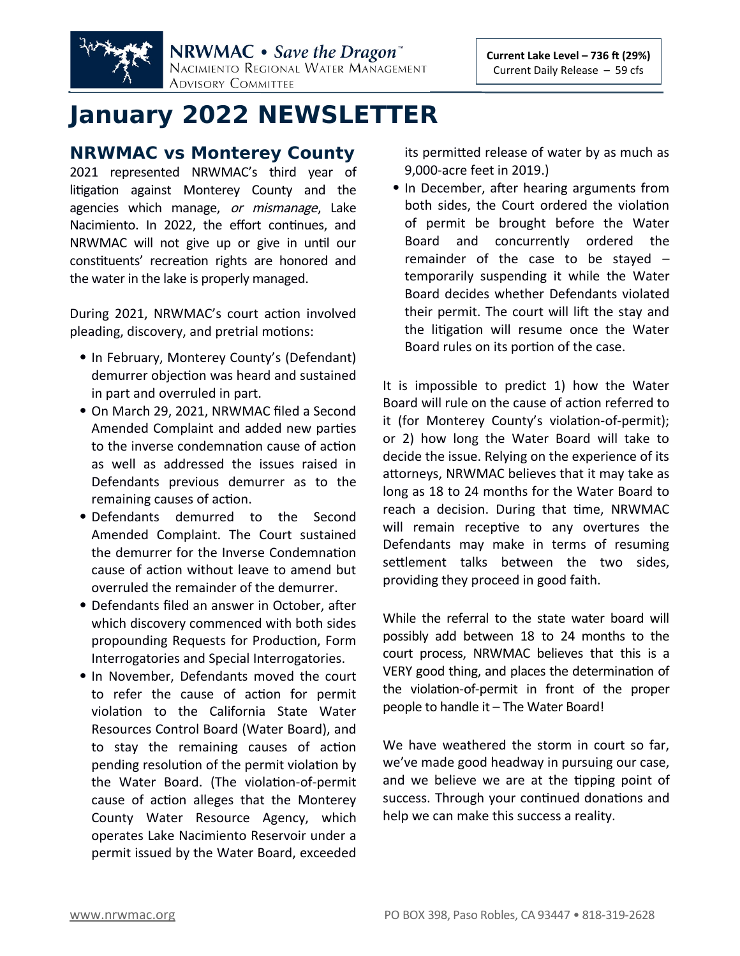

# **January 2022 NEWSLETTER**

## **NRWMAC vs Monterey County**

2021 represented NRWMAC's third year of litigation against Monterey County and the agencies which manage, or mismanage, Lake Nacimiento. In 2022, the effort continues, and NRWMAC will not give up or give in until our constituents' recreation rights are honored and the water in the lake is properly managed.

During 2021, NRWMAC's court action involved pleading, discovery, and pretrial motions:

- In February, Monterey County's (Defendant) demurrer objection was heard and sustained in part and overruled in part.
- On March 29, 2021, NRWMAC filed a Second Amended Complaint and added new parties to the inverse condemnation cause of action as well as addressed the issues raised in Defendants previous demurrer as to the remaining causes of action.
- Defendants demurred to the Second Amended Complaint. The Court sustained the demurrer for the Inverse Condemnation cause of action without leave to amend but overruled the remainder of the demurrer.
- Defendants filed an answer in October, after which discovery commenced with both sides propounding Requests for Production, Form Interrogatories and Special Interrogatories.
- In November, Defendants moved the court to refer the cause of action for permit violation to the California State Water Resources Control Board (Water Board), and to stay the remaining causes of action pending resolution of the permit violation by the Water Board. (The violation-of-permit cause of action alleges that the Monterey County Water Resource Agency, which operates Lake Nacimiento Reservoir under a permit issued by the Water Board, exceeded

its permitted release of water by as much as 9,000-acre feet in 2019.)

• In December, after hearing arguments from both sides, the Court ordered the violation of permit be brought before the Water Board and concurrently ordered the remainder of the case to be stayed – temporarily suspending it while the Water Board decides whether Defendants violated their permit. The court will lift the stay and the litigation will resume once the Water Board rules on its portion of the case.

It is impossible to predict 1) how the Water Board will rule on the cause of action referred to it (for Monterey County's violation-of-permit); or 2) how long the Water Board will take to decide the issue. Relying on the experience of its attorneys, NRWMAC believes that it may take as long as 18 to 24 months for the Water Board to reach a decision. During that time, NRWMAC will remain receptive to any overtures the Defendants may make in terms of resuming settlement talks between the two sides, providing they proceed in good faith.

While the referral to the state water board will possibly add between 18 to 24 months to the court process, NRWMAC believes that this is a VERY good thing, and places the determination of the violation-of-permit in front of the proper people to handle it – The Water Board!

We have weathered the storm in court so far, we've made good headway in pursuing our case, and we believe we are at the tipping point of success. Through your continued donations and help we can make this success a reality.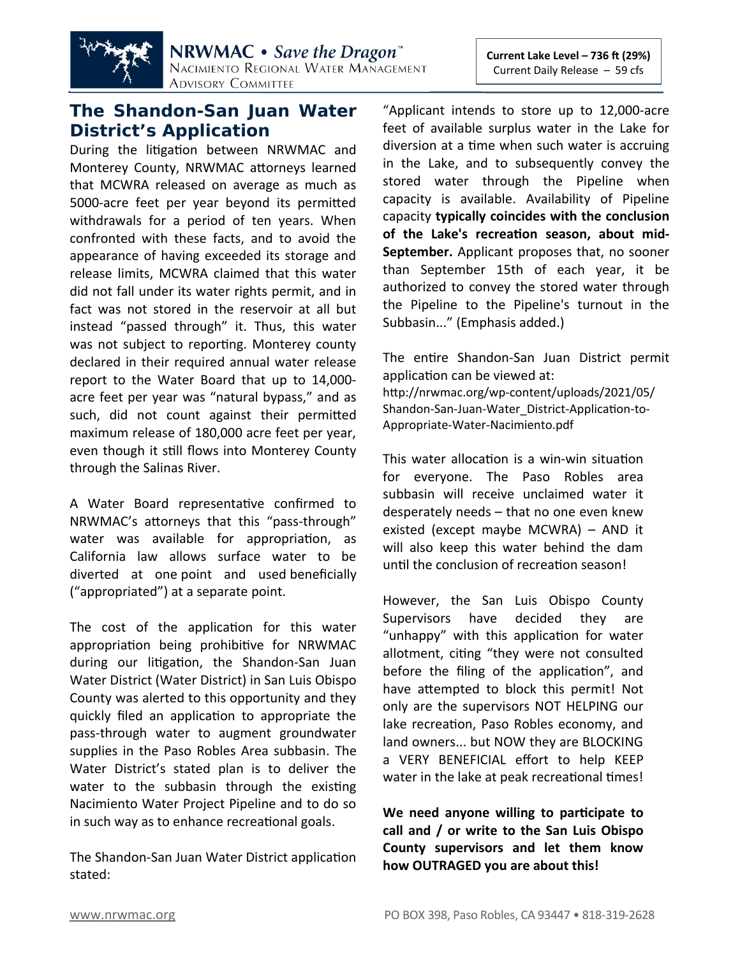

# **The Shandon-San Juan Water District's Application**

During the litigation between NRWMAC and Monterey County, NRWMAC attorneys learned that MCWRA released on average as much as 5000-acre feet per year beyond its permitted withdrawals for a period of ten years. When confronted with these facts, and to avoid the appearance of having exceeded its storage and release limits, MCWRA claimed that this water did not fall under its water rights permit, and in fact was not stored in the reservoir at all but instead "passed through" it. Thus, this water was not subject to reporting. Monterey county declared in their required annual water release report to the Water Board that up to 14,000 acre feet per year was "natural bypass," and as such, did not count against their permitted maximum release of 180,000 acre feet per year, even though it still flows into Monterey County through the Salinas River.

A Water Board representative confirmed to NRWMAC's attorneys that this "pass-through" water was available for appropriation, as California law allows surface water to be diverted at one point and used beneficially ("appropriated") at a separate point.

The cost of the application for this water appropriation being prohibitive for NRWMAC during our litigation, the Shandon-San Juan Water District (Water District) in San Luis Obispo County was alerted to this opportunity and they quickly filed an application to appropriate the pass-through water to augment groundwater supplies in the Paso Robles Area subbasin. The Water District's stated plan is to deliver the water to the subbasin through the existing Nacimiento Water Project Pipeline and to do so in such way as to enhance recreational goals.

The Shandon-San Juan Water District application stated:

"Applicant intends to store up to 12,000-acre feet of available surplus water in the Lake for diversion at a time when such water is accruing in the Lake, and to subsequently convey the stored water through the Pipeline when capacity is available. Availability of Pipeline capacity **typically coincides with the conclusion of the Lake's recreation season, about mid-September.** Applicant proposes that, no sooner than September 15th of each year, it be authorized to convey the stored water through the Pipeline to the Pipeline's turnout in the Subbasin..." (Emphasis added.)

The entire Shandon-San Juan District permit application can be viewed at: [http://nrwmac.org/wp-content/uploads/2021/05/](http://nrwmac.org/wp-content/uploads/2021/05/Shandon-San-Juan-Water_District-Application-to-Appropriate-Water-Nacimiento.pdf) [Shandon-San-Juan-Water\\_District-Application-to-](http://nrwmac.org/wp-content/uploads/2021/05/Shandon-San-Juan-Water_District-Application-to-Appropriate-Water-Nacimiento.pdf)[Appropriate-Water-Nacimiento.pdf](http://nrwmac.org/wp-content/uploads/2021/05/Shandon-San-Juan-Water_District-Application-to-Appropriate-Water-Nacimiento.pdf)

This water allocation is a win-win situation for everyone. The Paso Robles area subbasin will receive unclaimed water it desperately needs – that no one even knew existed (except maybe MCWRA) – AND it will also keep this water behind the dam until the conclusion of recreation season!

However, the San Luis Obispo County Supervisors have decided they are "unhappy" with this application for water allotment, citing "they were not consulted before the filing of the application", and have attempted to block this permit! Not only are the supervisors NOT HELPING our lake recreation, Paso Robles economy, and land owners... but NOW they are BLOCKING a VERY BENEFICIAL effort to help KEEP water in the lake at peak recreational times!

**We need anyone willing to participate to call and / or write to the San Luis Obispo County supervisors and let them know how OUTRAGED you are about this!**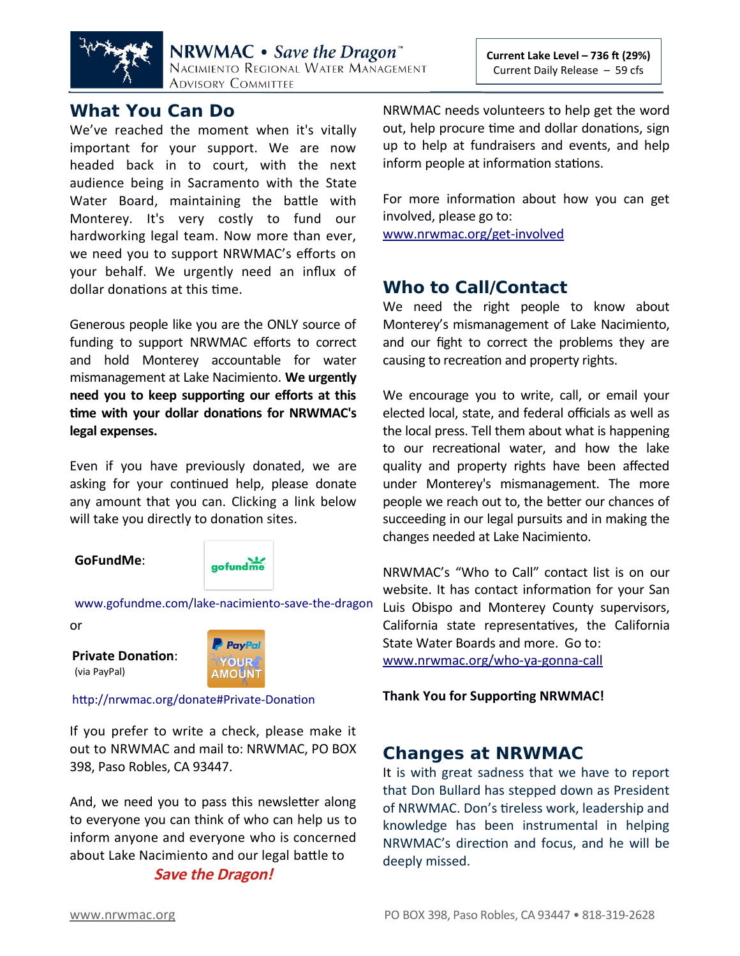

## **What You Can Do**

We've reached the moment when it's vitally important for your support. We are now headed back in to court, with the next audience being in Sacramento with the State Water Board, maintaining the battle with Monterey. It's very costly to fund our hardworking legal team. Now more than ever, we need you to support NRWMAC's efforts on your behalf. We urgently need an influx of dollar donations at this time.

Generous people like you are the ONLY source of funding to support NRWMAC efforts to correct and hold Monterey accountable for water mismanagement at Lake Nacimiento. **We urgently need you to keep supporting our efforts at this time with your dollar donations for NRWMAC's legal expenses.**

Even if you have previously donated, we are asking for your continued help, please donate any amount that you can. Clicking a link below will take you directly to donation sites.

#### **GoFundMe**:



[www.gofundme.com/lake-nacimiento-save-the-dragon](http://www.gofundme.com/lake-nacimiento-save-the-dragon)

or

**Private Donation**: (via PayPal)



#### <http://nrwmac.org/donate#Private-Donation>

If you prefer to write a check, please make it out to NRWMAC and mail to: NRWMAC, PO BOX 398, Paso Robles, CA 93447.

And, we need you to pass this newsletter along to everyone you can think of who can help us to inform anyone and everyone who is concerned about Lake Nacimiento and our legal battle to **Save the Dragon!**

NRWMAC needs volunteers to help get the word out, help procure time and dollar donations, sign up to help at fundraisers and events, and help inform people at information stations.

For more information about how you can get involved, please go to:

[www.nrwmac.org/get-involved](http://www.nrwmac.org/get-involved)

## **Who to Call/Contact**

We need the right people to know about Monterey's mismanagement of Lake Nacimiento, and our fight to correct the problems they are causing to recreation and property rights.

We encourage you to write, call, or email your elected local, state, and federal officials as well as the local press. Tell them about what is happening to our recreational water, and how the lake quality and property rights have been affected under Monterey's mismanagement. The more people we reach out to, the better our chances of succeeding in our legal pursuits and in making the changes needed at Lake Nacimiento.

NRWMAC's "Who to Call" contact list is on our website. It has contact information for your San Luis Obispo and Monterey County supervisors, California state representatives, the California State Water Boards and more. Go to: [www.nrwmac.org/who-ya-gonna-call](http://www.nrwmac.org/who-ya-gonna-call)

#### **Thank You for Supporting NRWMAC!**

# **Changes at NRWMAC**

It is with great sadness that we have to report that Don Bullard has stepped down as President of NRWMAC. Don's tireless work, leadership and knowledge has been instrumental in helping NRWMAC's direction and focus, and he will be deeply missed.